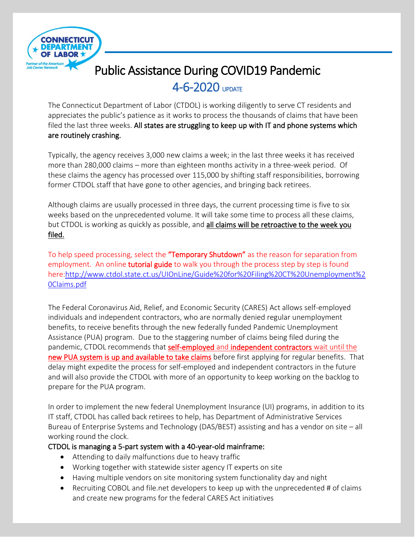

## Public Assistance During COVID19 Pandemic

j

### 4-6-2020 UPDATE

The Connecticut Department of Labor (CTDOL) is working diligently to serve CT residents and appreciates the public's patience as it works to process the thousands of claims that have been filed the last three weeks. All states are struggling to keep up with IT and phone systems which are routinely crashing.

Typically, the agency receives 3,000 new claims a week; in the last three weeks it has received more than 280,000 claims – more than eighteen months activity in a three-week period. Of these claims the agency has processed over 115,000 by shifting staff responsibilities, borrowing former CTDOL staff that have gone to other agencies, and bringing back retirees.

Although claims are usually processed in three days, the current processing time is five to six weeks based on the unprecedented volume. It will take some time to process all these claims, but CTDOL is working as quickly as possible, and all claims will be retroactive to the week you filed.

To help speed processing, select the **"Temporary Shutdown"** as the reason for separation from employment. An online tutorial guide to walk you through the process step by step is found here[:http://www.ctdol.state.ct.us/UIOnLine/Guide%20for%20Filing%20CT%20Unemployment%2](http://www.ctdol.state.ct.us/UIOnLine/Guide%20for%20Filing%20CT%20Unemployment%20Claims.pdf) [0Claims.pdf](http://www.ctdol.state.ct.us/UIOnLine/Guide%20for%20Filing%20CT%20Unemployment%20Claims.pdf)

The Federal Coronavirus Aid, Relief, and Economic Security (CARES) Act allows self-employed individuals and independent contractors, who are normally denied regular unemployment benefits, to receive benefits through the new federally funded Pandemic Unemployment Assistance (PUA) program. Due to the staggering number of claims being filed during the pandemic, CTDOL recommends that self-employed and independent contractors wait until the new PUA system is up and available to take claims before first applying for regular benefits. That delay might expedite the process for self-employed and independent contractors in the future and will also provide the CTDOL with more of an opportunity to keep working on the backlog to prepare for the PUA program.

In order to implement the new federal Unemployment Insurance (UI) programs, in addition to its IT staff, CTDOL has called back retirees to help, has Department of Administrative Services Bureau of Enterprise Systems and Technology (DAS/BEST) assisting and has a vendor on site – all working round the clock.

#### CTDOL is managing a 5-part system with a 40-year-old mainframe:

- Attending to daily malfunctions due to heavy traffic
- Working together with statewide sister agency IT experts on site
- Having multiple vendors on site monitoring system functionality day and night
- Recruiting COBOL and file.net developers to keep up with the unprecedented # of claims and create new programs for the federal CARES Act initiatives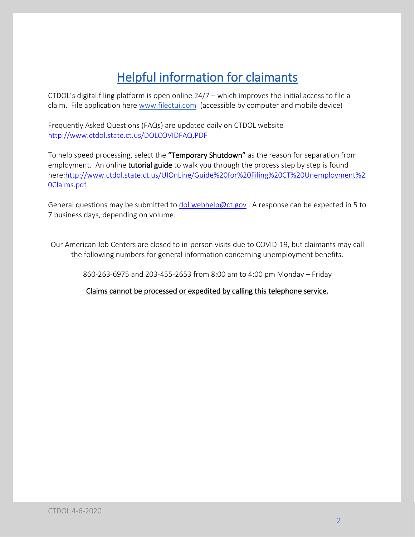# Helpful information for claimants

CTDOL's digital filing platform is open online 24/7 – which improves the initial access to file a claim. File application here [www.filectui.com](http://www.filectui.com/) (accessible by computer and mobile device)

Frequently Asked Questions (FAQs) are updated daily on CTDOL website <http://www.ctdol.state.ct.us/DOLCOVIDFAQ.PDF>

To help speed processing, select the "Temporary Shutdown" as the reason for separation from employment. An online **tutorial guide** to walk you through the process step by step is found here[:http://www.ctdol.state.ct.us/UIOnLine/Guide%20for%20Filing%20CT%20Unemployment%2](http://www.ctdol.state.ct.us/UIOnLine/Guide%20for%20Filing%20CT%20Unemployment%20Claims.pdf) [0Claims.pdf](http://www.ctdol.state.ct.us/UIOnLine/Guide%20for%20Filing%20CT%20Unemployment%20Claims.pdf)

General questions may be submitted to [dol.webhelp@ct.gov](mailto:dol.webhelp@ct.gov). A response can be expected in 5 to 7 business days, depending on volume.

Our American Job Centers are closed to in-person visits due to COVID-19, but claimants may call the following numbers for general information concerning unemployment benefits.

860-263-6975 and 203-455-2653 from 8:00 am to 4:00 pm Monday – Friday

Claims cannot be processed or expedited by calling this telephone service.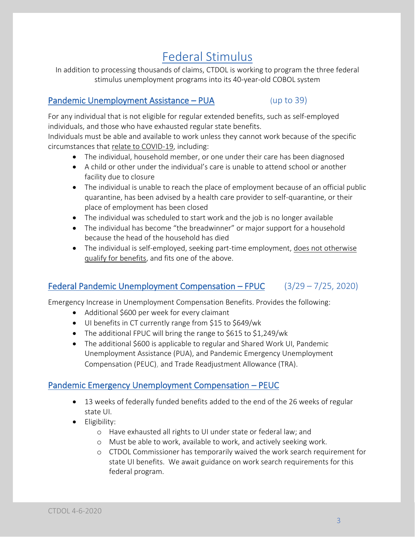## Federal Stimulus

In addition to processing thousands of claims, CTDOL is working to program the three federal stimulus unemployment programs into its 40-year-old COBOL system

### Pandemic Unemployment Assistance – PUA (up to 39)

For any individual that is not eligible for regular extended benefits, such as self-employed individuals, and those who have exhausted regular state benefits.

Individuals must be able and available to work unless they cannot work because of the specific circumstances that relate to COVID-19, including:

- The individual, household member, or one under their care has been diagnosed
- A child or other under the individual's care is unable to attend school or another facility due to closure
- The individual is unable to reach the place of employment because of an official public quarantine, has been advised by a health care provider to self-quarantine, or their place of employment has been closed
- The individual was scheduled to start work and the job is no longer available
- The individual has become "the breadwinner" or major support for a household because the head of the household has died
- The individual is self-employed, seeking part-time employment, does not otherwise qualify for benefits, and fits one of the above.

### Federal Pandemic Unemployment Compensation – FPUC (3/29 – 7/25, 2020)

Emergency Increase in Unemployment Compensation Benefits. Provides the following:

- Additional \$600 per week for every claimant
- UI benefits in CT currently range from \$15 to \$649/wk
- The additional FPUC will bring the range to \$615 to \$1,249/wk
- The additional \$600 is applicable to regular and Shared Work UI, Pandemic Unemployment Assistance (PUA), and Pandemic Emergency Unemployment Compensation (PEUC), and Trade Readjustment Allowance (TRA).

#### Pandemic Emergency Unemployment Compensation – PEUC

- 13 weeks of federally funded benefits added to the end of the 26 weeks of regular state UI.
- Eligibility:
	- o Have exhausted all rights to UI under state or federal law; and
	- o Must be able to work, available to work, and actively seeking work.
	- o CTDOL Commissioner has temporarily waived the work search requirement for state UI benefits. We await guidance on work search requirements for this federal program.